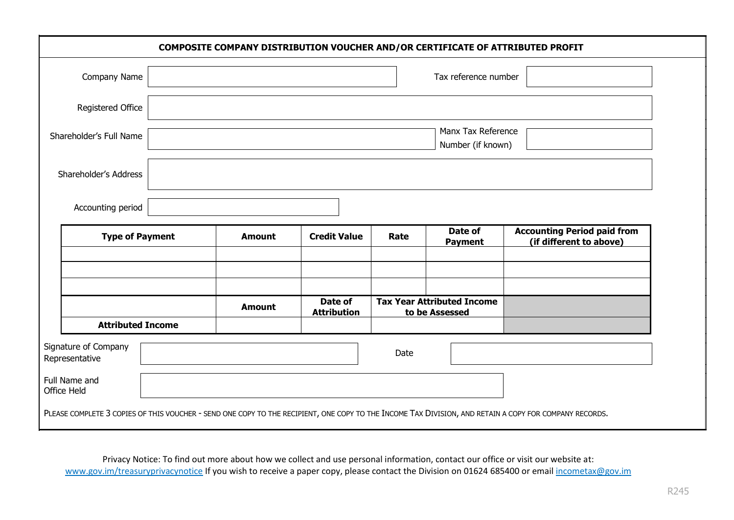| COMPOSITE COMPANY DISTRIBUTION VOUCHER AND/OR CERTIFICATE OF ATTRIBUTED PROFIT |                          |               |                               |                                                     |                           |                                                                                                                                                        |  |  |
|--------------------------------------------------------------------------------|--------------------------|---------------|-------------------------------|-----------------------------------------------------|---------------------------|--------------------------------------------------------------------------------------------------------------------------------------------------------|--|--|
| Company Name                                                                   |                          |               |                               | Tax reference number                                |                           |                                                                                                                                                        |  |  |
| Registered Office                                                              |                          |               |                               |                                                     |                           |                                                                                                                                                        |  |  |
| Shareholder's Full Name                                                        |                          |               |                               |                                                     | Number (if known)         | Manx Tax Reference                                                                                                                                     |  |  |
| Shareholder's Address                                                          |                          |               |                               |                                                     |                           |                                                                                                                                                        |  |  |
| Accounting period                                                              |                          |               |                               |                                                     |                           |                                                                                                                                                        |  |  |
| <b>Type of Payment</b>                                                         |                          | <b>Amount</b> | <b>Credit Value</b>           | Rate                                                | Date of<br><b>Payment</b> | <b>Accounting Period paid from</b><br>(if different to above)                                                                                          |  |  |
|                                                                                |                          |               |                               |                                                     |                           |                                                                                                                                                        |  |  |
|                                                                                |                          | <b>Amount</b> | Date of<br><b>Attribution</b> | <b>Tax Year Attributed Income</b><br>to be Assessed |                           |                                                                                                                                                        |  |  |
|                                                                                | <b>Attributed Income</b> |               |                               |                                                     |                           |                                                                                                                                                        |  |  |
| Signature of Company<br>Representative                                         |                          |               |                               | Date                                                |                           |                                                                                                                                                        |  |  |
| Full Name and<br>Office Held                                                   |                          |               |                               |                                                     |                           |                                                                                                                                                        |  |  |
|                                                                                |                          |               |                               |                                                     |                           | PLEASE COMPLETE 3 COPIES OF THIS VOUCHER - SEND ONE COPY TO THE RECIPIENT, ONE COPY TO THE INCOME TAX DIVISION, AND RETAIN A COPY FOR COMPANY RECORDS. |  |  |

Privacy Notice: To find out more about how we collect and use personal information, contact our office or visit our website at: www.gov.im/treasuryprivacynotice If you wish to receive a paper copy, please contact the Division on 01624 685400 or email incometax@gov.im